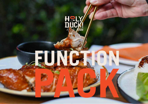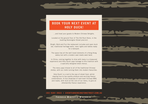## **BOOK YOUR NEXT EVENT AT HOLY DUCK!**

...and treat your guests to Modern Chinese Delights.

Located on the ground floor of The Old Rum Store, in the bustling Kensington Street precinct.

Bright, Bold and Fun the restaurant includes and open duck bar, traditional heritage walls, neon lights and tables ready for a banquet.

The space has all the well-loved elements of a Hong Kong eatery but with a modern east meets west twist.

In China, coming together to dine with many is a treasured experience and Holy Duck! pays homage to this tradition with a specially designed share menus.

The menu pays tribute to all of the traditional Chinese dishes, with our chefs turning them into modern favourites.

Holy Duck! is a nod to the joys of street food, whilst staying true to top quality produce and exciting flavour combinations. A true showcase of next-level Chinese BBQ and roasts, with duck at the core of our menu, to give an otherworldly flavour experience.

#### **(02) 9281 0922 | EVENTS@KENSINGTONSTREET.COM.AU**

**HOLYDUCK.AU HOLYDUCK.AU HOLYDUCK\_AU**

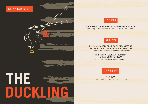



#### **DUCK YEAH SPRING ROLL / VEGETABLE SPRING ROLLS**

Roast Holy Duck & vegetables with chilli plum dipping sauce



**HALF-CRISPY HOLY DUCK (WITH PANCAKES) OR HALF-ROAST HOLY DUCK (WITH NO PANCAKES)** Served with hoisin sauce, cucumber & spring onion

> **STIR FRIED SEASONAL VEGETABLES / STEAM CHINESE GREENS**

with snow peas, baby corn & asparagus



**ICE CREAM** vanilla / chocolate / green tea / mandarin sorbet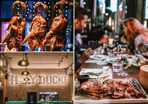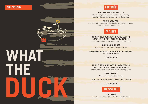## **\$69 / PERSON**



#### **STEAMED DIM SUM PLATTER**

selection of prawn har gow, vegetable dumplings, chicken siu mai and prawn & chive dumplings

#### **CRISPY CALAMARI**

wok-fried with cornflakes, fried onio, desiccated coconut, breadcrumbs & chopped red chilli

# **MAINS**

#### **CRISPY HOLY DUCK (WITH PANCAKES) OR ROAST HOLY DUCK (WITH NO PANCAKES)**

served with hoisin sauce, cucumber & spring onion

**DUCK SAN CHOI BAO**

with yellow pickle, chilli, basil & crispies

**HANDMADE PINK SALT AND BLACK SESAME EGG & SPINACH TOFU**

**JASMINE RICE**

OR

#### **CRISPY HOLY DUCK (WITH PANCAKES) OR ROAST HOLY DUCK (WITH NO PANCAKES)**

served with hoisin sauce, cucumber & spring onion

**PORK DELIGHT**

BBQ char siu & roast pork belly

#### **STIR FRIED GREEN BEANS WITH PORK MINCE**

**JASMINE RICE**



**ICE CREAM** vanilla / chocolate / green tea / mandarin sorbet

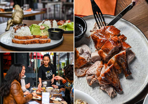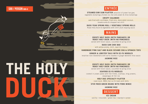## **\$88 / PERSON (min 4)**



THE HOLY

# **ENTRÉE**

**STEAMED DIM SUM PLATTER** selection of prawn har gow, vegetable dumplings,chicken siu mai and prawn & chive dumplings

#### **CRISPY CALAMARI**

wok-fried with cornflakes, fried onio, desiccated coconut, breadcrumbs & chopped red chilli

#### **DUCK YEAH SPRING ROLL / VEGETABLE SPRING ROLLS**

Roast Holy Duck & vegetables with chilli plum dipping sauce

## **MAINS**

#### **CRISPY HOLY DUCK (WITH PANCAKES) OR ROAST HOLY DUCK (WITH NO PANCAKES)**

served with hoisin sauce, cucumber & spring onion

**DUCK SAN CHOI BAO**

with yellow pickle, chilli, basil & crispies

#### **HANDMADE PINK SALT AND BLACK SESAME EGG & SPINACH TOFU**

**GINGER & LOBSTER TAILS WITH EE-FU NOODLES**

brazilian rock lobstertails with ee-fu noodles in ginger &shallot miso sauce

**JASMINE RICE**

OR

**CRISPY HOLY DUCK (WITH PANCAKES) OR ROAST HOLY DUCK (WITH NO PANCAKES)**

served with hoisin sauce, cucumber & spring onion

**SEAFOOD EE-FU NOODLES** cooked in prawn paste with fish fillets, scallops, king prawns, asaparagus & fish roe

> **HOLY DUC SPECIALTY PLATTER** roast duck. BBQ char sui & roast pork belly

#### **STIR FRIED GREEN BEANS WITH PORK MINCE**

#### **JASMINE RICE**



**ICE CREAM** vanilla / chocolate / green tea / mandarin sorbet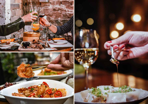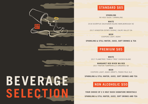

## **STANDARD \$65**

**SPARKLING** NV HOLY DUCK ! SPARKLING

**WHITE** 2018 SCORPIUS SAUVIGNON BLANC MARLBOROUGH NZ

**RED**  2017 KINGSTON ESTATE SHIRAZ, CALRE VALLEY SA

> **BEER**  COOPERS LIGHT, ASAHI

#### **SPARKLING & STILL WATER, JUICE, SOFT DRINKS & TEA**

# **PREMIUM \$85**

**WHITE** 2017 FLAMETREE 'FAMILY TREE' CHENIN BLANC

**MARGARET RED RIVER WA RED**  2017 PAXTON TEMPRANILLO (ORGANIC) SA

**BEER** COOPERS LIGHT, ASAHI (DRAFT), PADDO PALE ALE

**SPARKLING & STILL WATER, JUICE, SOFT DRINKS AND TEA**

# **NON ALCOHOLIC \$50**

**YOUR CHOICE OF 2 X HOLY DUCK SIGNATURE MOCKTAILS**

**SPARKLING & STILL WATER, JUICE, SOFT DRINKS AND TEA**

# BEVERAGE SELECT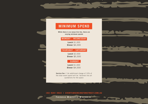## **MINIMUM SPEND**

**While there is no venue hire fee, there are varying minimum spends**

#### **MONDAY - WEDNESDAY**

**Lunch** \$1,000 **Dinner** \$4,000

## **THURSDAY - SATURDAY**

**Lunch** \$2,000 **Dinner** \$5,500

### **SUNDAY**

**Lunch** \$1,000 **Dinner** \$4,000

**Service Fee /** An additional charge of 10% of the total event spend will be factored into all quotations for the space



#### **(02) 9281 0922 | EVENTS@KENSINGTONSTREET.COM.AU**

**HOLYDUCK.AU HOLYDUCK.AU HOLYDUCK\_AU**